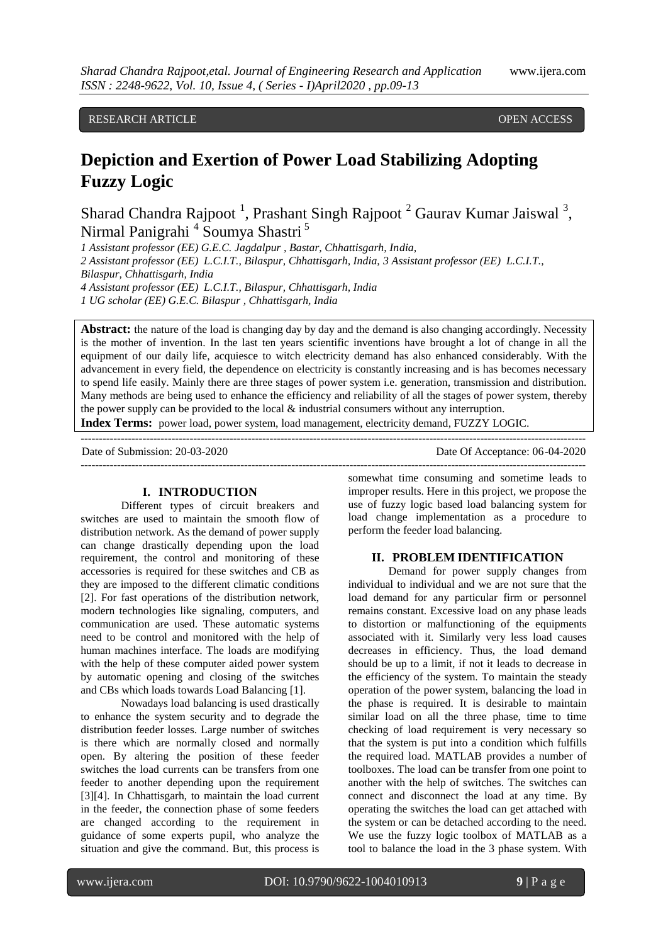# RESEARCH ARTICLE **The CONSTRUCTION CONSTRUCTS** OPEN ACCESS

# **Depiction and Exertion of Power Load Stabilizing Adopting Fuzzy Logic**

Sharad Chandra Rajpoot<sup>1</sup>, Prashant Singh Rajpoot<sup>2</sup> Gaurav Kumar Jaiswal<sup>3</sup>, Nirmal Panigrahi<sup>4</sup> Soumya Shastri<sup>5</sup>

*1 Assistant professor (EE) G.E.C. Jagdalpur , Bastar, Chhattisgarh, India, 2 Assistant professor (EE) L.C.I.T., Bilaspur, Chhattisgarh, India, 3 Assistant professor (EE) L.C.I.T., Bilaspur, Chhattisgarh, India 4 Assistant professor (EE) L.C.I.T., Bilaspur, Chhattisgarh, India 1 UG scholar (EE) G.E.C. Bilaspur , Chhattisgarh, India*

**Abstract:** the nature of the load is changing day by day and the demand is also changing accordingly. Necessity is the mother of invention. In the last ten years scientific inventions have brought a lot of change in all the equipment of our daily life, acquiesce to witch electricity demand has also enhanced considerably. With the advancement in every field, the dependence on electricity is constantly increasing and is has becomes necessary to spend life easily. Mainly there are three stages of power system i.e. generation, transmission and distribution. Many methods are being used to enhance the efficiency and reliability of all the stages of power system, thereby the power supply can be provided to the local & industrial consumers without any interruption.

-------------------------------------------------------------------------------------------------------------------------------------------

-------------------------------------------------------------------------------------------------------------------------------------------

**Index Terms:** power load, power system, load management, electricity demand, FUZZY LOGIC.

Date of Submission: 20-03-2020 Date Of Acceptance: 06-04-2020

## **I. INTRODUCTION**

Different types of circuit breakers and switches are used to maintain the smooth flow of distribution network. As the demand of power supply can change drastically depending upon the load requirement, the control and monitoring of these accessories is required for these switches and CB as they are imposed to the different climatic conditions [2]. For fast operations of the distribution network, modern technologies like signaling, computers, and communication are used. These automatic systems need to be control and monitored with the help of human machines interface. The loads are modifying with the help of these computer aided power system by automatic opening and closing of the switches and CBs which loads towards Load Balancing [1].

Nowadays load balancing is used drastically to enhance the system security and to degrade the distribution feeder losses. Large number of switches is there which are normally closed and normally open. By altering the position of these feeder switches the load currents can be transfers from one feeder to another depending upon the requirement [3][4]. In Chhattisgarh, to maintain the load current in the feeder, the connection phase of some feeders are changed according to the requirement in guidance of some experts pupil, who analyze the situation and give the command. But, this process is

somewhat time consuming and sometime leads to improper results. Here in this project, we propose the use of fuzzy logic based load balancing system for load change implementation as a procedure to perform the feeder load balancing.

## **II. PROBLEM IDENTIFICATION**

Demand for power supply changes from individual to individual and we are not sure that the load demand for any particular firm or personnel remains constant. Excessive load on any phase leads to distortion or malfunctioning of the equipments associated with it. Similarly very less load causes decreases in efficiency. Thus, the load demand should be up to a limit, if not it leads to decrease in the efficiency of the system. To maintain the steady operation of the power system, balancing the load in the phase is required. It is desirable to maintain similar load on all the three phase, time to time checking of load requirement is very necessary so that the system is put into a condition which fulfills the required load. MATLAB provides a number of toolboxes. The load can be transfer from one point to another with the help of switches. The switches can connect and disconnect the load at any time. By operating the switches the load can get attached with the system or can be detached according to the need. We use the fuzzy logic toolbox of MATLAB as a tool to balance the load in the 3 phase system. With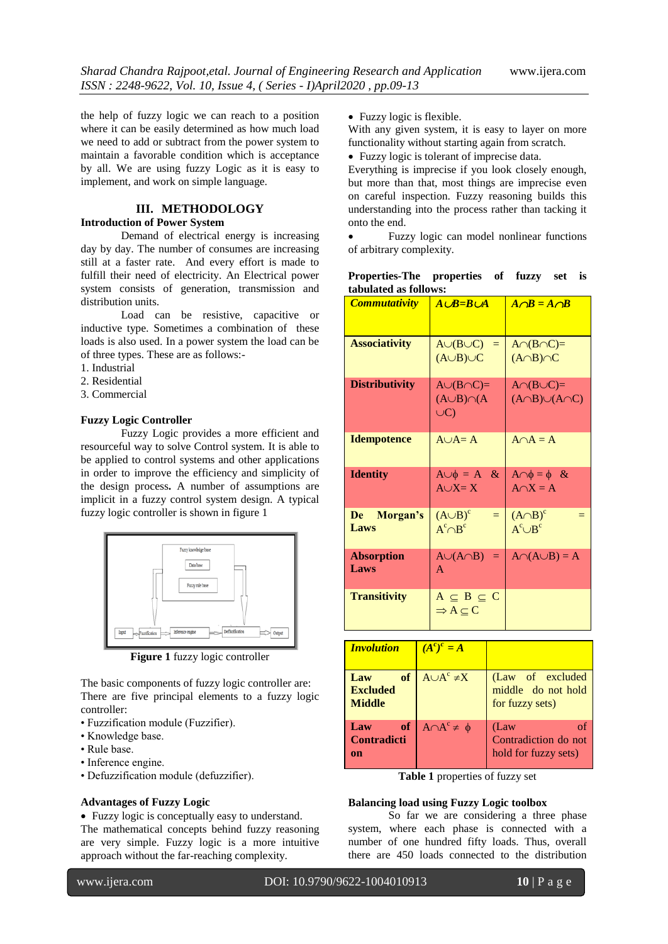the help of fuzzy logic we can reach to a position where it can be easily determined as how much load we need to add or subtract from the power system to maintain a favorable condition which is acceptance by all. We are using fuzzy Logic as it is easy to implement, and work on simple language.

# **III. METHODOLOGY**

# **Introduction of Power System**

Demand of electrical energy is increasing day by day. The number of consumes are increasing still at a faster rate. And every effort is made to fulfill their need of electricity. An Electrical power system consists of generation, transmission and distribution units.

Load can be resistive, capacitive or inductive type. Sometimes a combination of these loads is also used. In a power system the load can be of three types. These are as follows:-

- 1. Industrial
- 2. Residential
- 3. Commercial

#### **Fuzzy Logic Controller**

Fuzzy Logic provides a more efficient and resourceful way to solve Control system. It is able to be applied to control systems and other applications in order to improve the efficiency and simplicity of the design process**.** A number of assumptions are implicit in a fuzzy control system design. A typical fuzzy logic controller is shown in figure 1



**Figure 1** fuzzy logic controller

The basic components of fuzzy logic controller are: There are five principal elements to a fuzzy logic controller:

- Fuzzification module (Fuzzifier).
- Knowledge base.
- Rule base.
- Inference engine.
- Defuzzification module (defuzzifier).

# **Advantages of Fuzzy Logic**

Fuzzy logic is conceptually easy to understand.

The mathematical concepts behind fuzzy reasoning are very simple. Fuzzy logic is a more intuitive approach without the far-reaching complexity.

With any given system, it is easy to layer on more functionality without starting again from scratch.

Fuzzy logic is tolerant of imprecise data.

Everything is imprecise if you look closely enough, but more than that, most things are imprecise even on careful inspection. Fuzzy reasoning builds this understanding into the process rather than tacking it onto the end.

 Fuzzy logic can model nonlinear functions of arbitrary complexity.

| Properties-The properties of fuzzy set is |  |  |  |
|-------------------------------------------|--|--|--|
| tabulated as follows:                     |  |  |  |

| <b>Commutativity</b>      | $A \cup B = B \cup A$                                      | $A \cap B = A \cap B$                                 |
|---------------------------|------------------------------------------------------------|-------------------------------------------------------|
| <b>Associativity</b>      | $A \cup (B \cup C) =$<br>$(A \cup B) \cup C$               | $A \cap (B \cap C) =$<br>$(A \cap B) \cap C$          |
| <b>Distributivity</b>     | $A \cup (B \cap C) =$<br>$(A \cup B) \cap (A$<br>$\cup C$  | $A \cap (B \cup C) =$<br>$(A \cap B) \cup (A \cap C)$ |
| <b>Idempotence</b>        | $A \cup A = A$                                             | $A \cap A = A$                                        |
| <b>Identity</b>           | $A \cup \phi = A \&$<br>$A\overline{\cup X}=\overline{X}$  | $A \cap \phi = \phi \&$<br>$A \cap X = A$             |
| Morgan's<br>De<br>Laws    | $(A \cup B)^c$<br>$=$<br>$A^c \cap B^c$                    | $(A \cap B)^c$<br>$=$<br>$A^c \cup B^c$               |
| <b>Absorption</b><br>Laws | $A\cup (A\cap B) =$<br>$\mathbf{A}$                        | $A \cap (A \cup B) = A$                               |
| <b>Transitivity</b>       | $A \subseteq B \subseteq C$<br>$\Rightarrow A \subseteq C$ |                                                       |

| <b>Involution</b>                             | $(A^{c})^{c} = A$      |                                                            |
|-----------------------------------------------|------------------------|------------------------------------------------------------|
| of<br>Law<br><b>Excluded</b><br><b>Middle</b> | $A \cup A^c \neq X$    | (Law of excluded<br>middle do not hold<br>for fuzzy sets)  |
| <b>of</b><br>Law<br><b>Contradicti</b><br>on  | $A \cap A^c \neq \phi$ | (Law<br>Ωf<br>Contradiction do not<br>hold for fuzzy sets) |

**Table 1** properties of fuzzy set

### **Balancing load using Fuzzy Logic toolbox**

So far we are considering a three phase system, where each phase is connected with a number of one hundred fifty loads. Thus, overall there are 450 loads connected to the distribution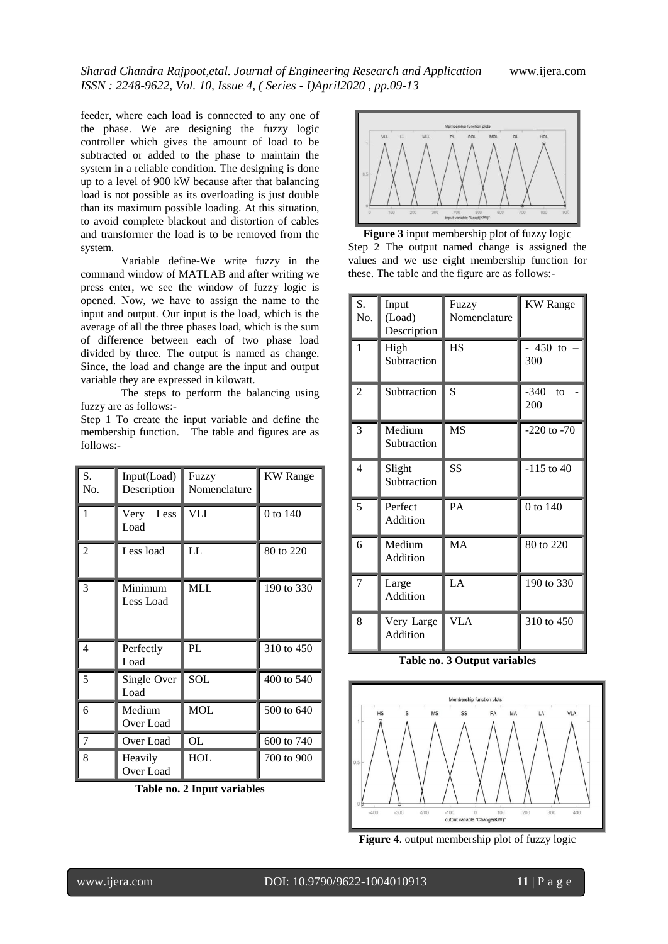feeder, where each load is connected to any one of the phase. We are designing the fuzzy logic controller which gives the amount of load to be subtracted or added to the phase to maintain the system in a reliable condition. The designing is done up to a level of 900 kW because after that balancing load is not possible as its overloading is just double than its maximum possible loading. At this situation, to avoid complete blackout and distortion of cables and transformer the load is to be removed from the system.

Variable define-We write fuzzy in the command window of MATLAB and after writing we press enter, we see the window of fuzzy logic is opened. Now, we have to assign the name to the input and output. Our input is the load, which is the average of all the three phases load, which is the sum of difference between each of two phase load divided by three. The output is named as change. Since, the load and change are the input and output variable they are expressed in kilowatt.

The steps to perform the balancing using fuzzy are as follows:-

|           |  | Step 1 To create the input variable and define the |  |  |  |  |
|-----------|--|----------------------------------------------------|--|--|--|--|
|           |  | membership function. The table and figures are as  |  |  |  |  |
| follows:- |  |                                                    |  |  |  |  |

| S.<br>No.      | Input(Load)<br>Description | Fuzzy<br>Nomenclature | <b>KW</b> Range |
|----------------|----------------------------|-----------------------|-----------------|
| 1              | Very<br>Less<br>Load       | <b>VLL</b>            | 0 to 140        |
| 2              | Less load                  | LL                    | 80 to 220       |
| 3              | Minimum<br>Less Load       | <b>MLL</b>            | 190 to 330      |
| 4              | Perfectly<br>Load          | PL                    | 310 to 450      |
| 5              | Single Over<br>Load        | SOL                   | 400 to 540      |
| 6              | Medium<br>Over Load        | <b>MOL</b>            | 500 to 640      |
| $\overline{7}$ | Over Load                  | <b>OL</b>             | 600 to 740      |
| 8              | Heavily<br>Over Load       | HOL                   | 700 to 900      |

**Table no. 2 Input variables**



**Figure 3** input membership plot of fuzzy logic Step 2 The output named change is assigned the values and we use eight membership function for these. The table and the figure are as follows:-

| S.<br>No.      | Input<br>(Load)<br>Description | Fuzzy<br>Nomenclature | <b>KW</b> Range     |
|----------------|--------------------------------|-----------------------|---------------------|
| 1              | High<br>Subtraction            | <b>HS</b>             | 450<br>to<br>300    |
| $\overline{c}$ | Subtraction                    | S                     | $-340$<br>to<br>200 |
| 3              | Medium<br>Subtraction          | <b>MS</b>             | $-220$ to $-70$     |
| 4              | Slight<br>Subtraction          | SS                    | $-115$ to 40        |
| 5              | Perfect<br>Addition            | PA                    | 0 to 140            |
| 6              | Medium<br>Addition             | MA                    | 80 to 220           |
| 7              | Large<br>Addition              | LA                    | 190 to 330          |
| 8              | Very Large<br><b>Addition</b>  | <b>VLA</b>            | 310 to 450          |

**Table no. 3 Output variables**



**Figure 4**. output membership plot of fuzzy logic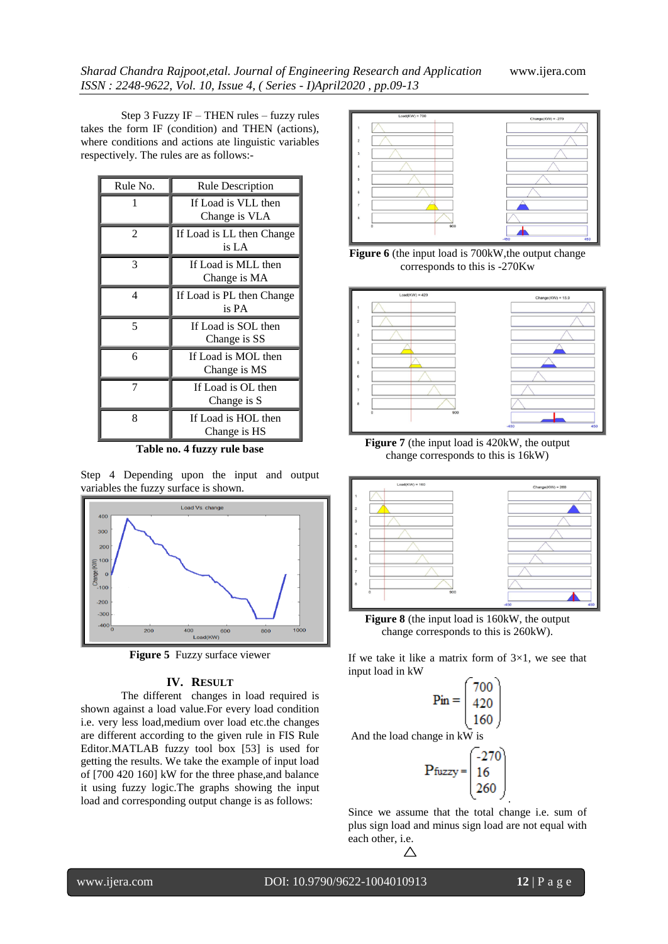Step 3 Fuzzy IF – THEN rules – fuzzy rules takes the form IF (condition) and THEN (actions), where conditions and actions ate linguistic variables respectively. The rules are as follows:-

| Rule No.       | <b>Rule Description</b>              |
|----------------|--------------------------------------|
|                | If Load is VLL then<br>Change is VLA |
| $\mathfrak{D}$ | If Load is LL then Change<br>is LA   |
| 3              | If Load is MLL then<br>Change is MA  |
| 4              | If Load is PL then Change<br>is PA   |
| 5              | If Load is SOL then<br>Change is SS  |
| 6              | If Load is MOL then<br>Change is MS  |
| 7              | If Load is OL then<br>Change is S    |
| 8              | If Load is HOL then<br>Change is HS  |

**Table no. 4 fuzzy rule base**

Step 4 Depending upon the input and output variables the fuzzy surface is shown.



**Figure 5** Fuzzy surface viewer

## **IV. RESULT**

The different changes in load required is shown against a load value.For every load condition i.e. very less load,medium over load etc.the changes are different according to the given rule in FIS Rule Editor.MATLAB fuzzy tool box [53] is used for getting the results. We take the example of input load of [700 420 160] kW for the three phase,and balance it using fuzzy logic.The graphs showing the input load and corresponding output change is as follows:



**Figure 6** (the input load is 700kW,the output change corresponds to this is -270Kw



**Figure 7** (the input load is 420kW, the output change corresponds to this is 16kW)



**Figure 8** (the input load is 160kW, the output change corresponds to this is 260kW).

If we take it like a matrix form of  $3\times1$ , we see that input load in kW

$$
\mathbf{Pin} = \begin{bmatrix} 700 \\ 420 \\ 160 \end{bmatrix}
$$
  
hange in kW is

And the load c

$$
P_{\text{fuzzy}} = \begin{bmatrix} -270 \\ 16 \\ 260 \end{bmatrix}
$$

Since we assume that the total change i.e. sum of plus sign load and minus sign load are not equal with each other, i.e.

.

 $\triangle$